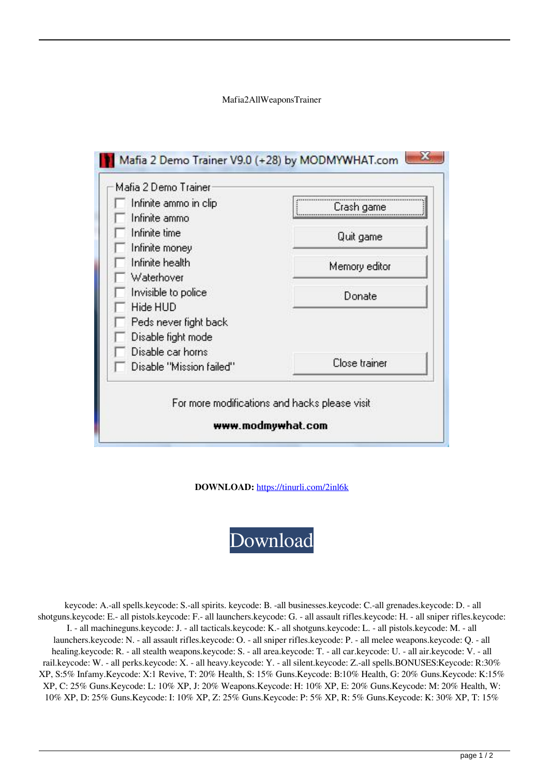Mafia2AllWeaponsTrainer



**DOWNLOAD:** <https://tinurli.com/2inl6k>

[Download](https://tinurli.com/2inl6k)

 keycode: A.-all spells.keycode: S.-all spirits. keycode: B. -all businesses.keycode: C.-all grenades.keycode: D. - all shotguns.keycode: E.- all pistols.keycode: F.- all launchers.keycode: G. - all assault rifles.keycode: H. - all sniper rifles.keycode: I. - all machineguns.keycode: J. - all tacticals.keycode: K.- all shotguns.keycode: L. - all pistols.keycode: M. - all launchers.keycode: N. - all assault rifles.keycode: O. - all sniper rifles.keycode: P. - all melee weapons.keycode: Q. - all healing.keycode: R. - all stealth weapons.keycode: S. - all area.keycode: T. - all car.keycode: U. - all air.keycode: V. - all rail.keycode: W. - all perks.keycode: X. - all heavy.keycode: Y. - all silent.keycode: Z.-all spells.BONUSES:Keycode: R:30% XP, S:5% Infamy.Keycode: X:1 Revive, T: 20% Health, S: 15% Guns.Keycode: B:10% Health, G: 20% Guns.Keycode: K:15% XP, C: 25% Guns.Keycode: L: 10% XP, J: 20% Weapons.Keycode: H: 10% XP, E: 20% Guns.Keycode: M: 20% Health, W: 10% XP, D: 25% Guns.Keycode: I: 10% XP, Z: 25% Guns.Keycode: P: 5% XP, R: 5% Guns.Keycode: K: 30% XP, T: 15%